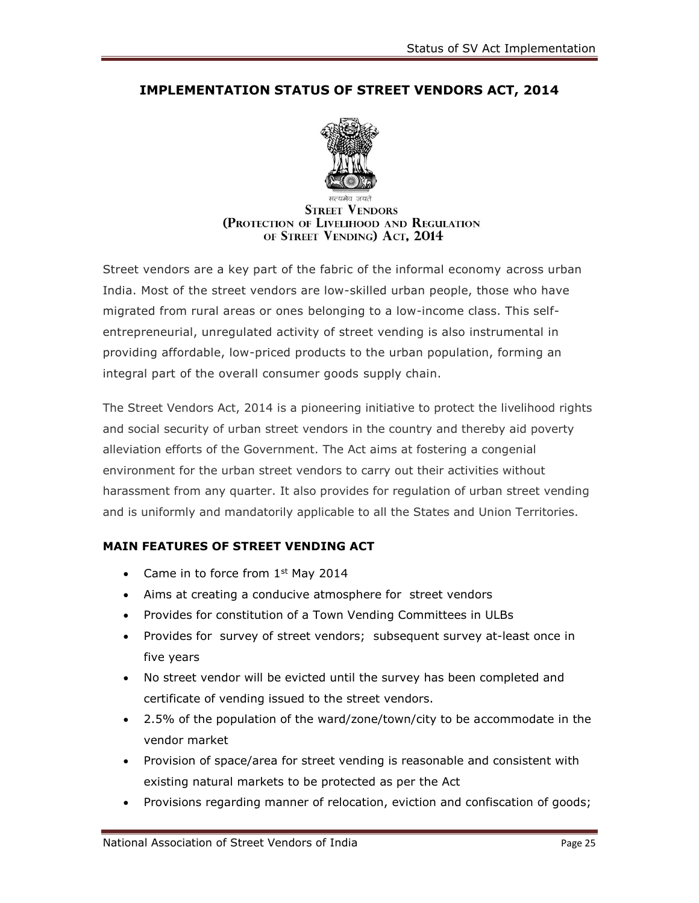## **IMPLEMENTATION STATUS OF STREET VENDORS ACT, 2014**



## **STREET VENDORS** (PROTECTION OF LIVELIHOOD AND REGULATION OF STREET VENDING) ACT, 2014

Street vendors are a key part of the fabric of the informal economy across urban India. Most of the street vendors are low-skilled urban people, those who have migrated from rural areas or ones belonging to a low-income class. This selfentrepreneurial, unregulated activity of street vending is also instrumental in providing affordable, low-priced products to the urban population, forming an integral part of the overall consumer goods supply chain.

The Street Vendors Act, 2014 is a pioneering initiative to protect the livelihood rights and social security of urban street vendors in the country and thereby aid poverty alleviation efforts of the Government. The Act aims at fostering a congenial environment for the urban street vendors to carry out their activities without harassment from any quarter. It also provides for regulation of urban street vending and is uniformly and mandatorily applicable to all the States and Union Territories.

## **MAIN FEATURES OF STREET VENDING ACT**

- Came in to force from  $1<sup>st</sup>$  May 2014
- Aims at creating a conducive atmosphere for street vendors
- Provides for constitution of a Town Vending Committees in ULBs
- Provides for survey of street vendors; subsequent survey at-least once in five years
- No street vendor will be evicted until the survey has been completed and certificate of vending issued to the street vendors.
- 2.5% of the population of the ward/zone/town/city to be accommodate in the vendor market
- Provision of space/area for street vending is reasonable and consistent with existing natural markets to be protected as per the Act
- Provisions regarding manner of relocation, eviction and confiscation of goods;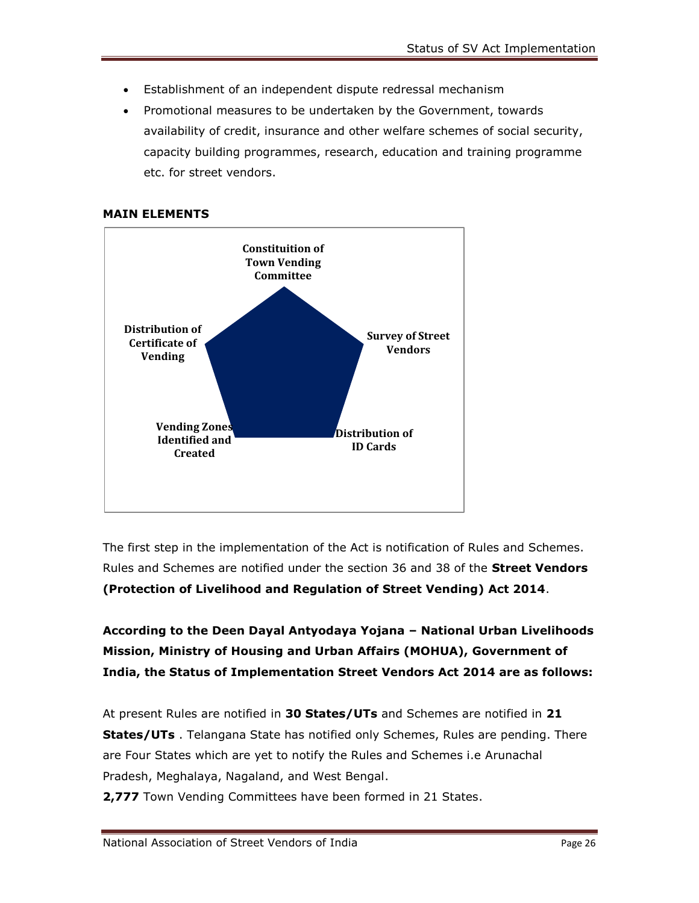- Establishment of an independent dispute redressal mechanism
- Promotional measures to be undertaken by the Government, towards availability of credit, insurance and other welfare schemes of social security, capacity building programmes, research, education and training programme etc. for street vendors.





The first step in the implementation of the Act is notification of Rules and Schemes. Rules and Schemes are notified under the section 36 and 38 of the **Street Vendors (Protection of Livelihood and Regulation of Street Vending) Act 2014**.

**According to the Deen Dayal Antyodaya Yojana – National Urban Livelihoods Mission, Ministry of Housing and Urban Affairs (MOHUA), Government of India, the Status of Implementation Street Vendors Act 2014 are as follows:** 

At present Rules are notified in **30 States/UTs** and Schemes are notified in **21 States/UTs** . Telangana State has notified only Schemes, Rules are pending. There are Four States which are yet to notify the Rules and Schemes i.e Arunachal Pradesh, Meghalaya, Nagaland, and West Bengal.

**2,777** Town Vending Committees have been formed in 21 States.